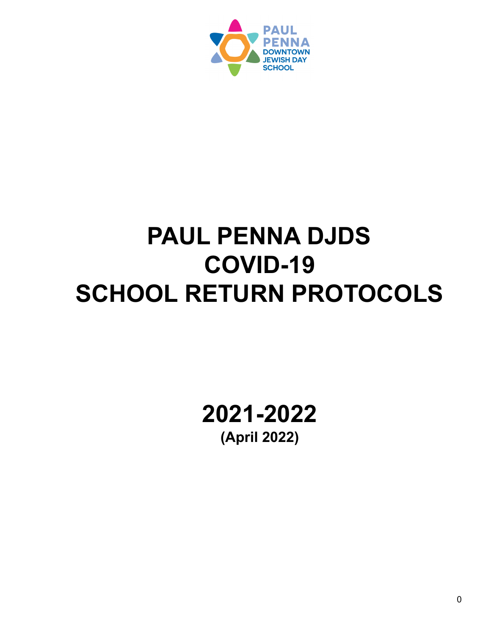

# **PAUL PENNA DJDS COVID-19 SCHOOL RETURN PROTOCOLS**

**2021-2022 (April 2022)**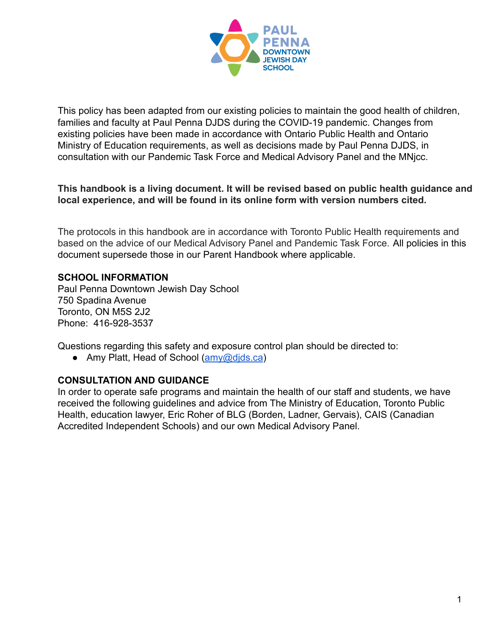

This policy has been adapted from our existing policies to maintain the good health of children, families and faculty at Paul Penna DJDS during the COVID-19 pandemic. Changes from existing policies have been made in accordance with Ontario Public Health and Ontario Ministry of Education requirements, as well as decisions made by Paul Penna DJDS, in consultation with our Pandemic Task Force and Medical Advisory Panel and the MNjcc.

## **This handbook is a living document. It will be revised based on public health guidance and local experience, and will be found in its online form with version numbers cited.**

The protocols in this handbook are in accordance with Toronto Public Health requirements and based on the advice of our Medical Advisory Panel and Pandemic Task Force. All policies in this document supersede those in our Parent Handbook where applicable.

## **SCHOOL INFORMATION**

Paul Penna Downtown Jewish Day School 750 Spadina Avenue Toronto, ON M5S 2J2 Phone: 416-928-3537

Questions regarding this safety and exposure control plan should be directed to:

● Amy Platt, Head of School (amy@dids.ca)

#### **CONSULTATION AND GUIDANCE**

In order to operate safe programs and maintain the health of our staff and students, we have received the following guidelines and advice from The Ministry of Education, Toronto Public Health, education lawyer, Eric Roher of BLG (Borden, Ladner, Gervais), CAIS (Canadian Accredited Independent Schools) and our own Medical Advisory Panel.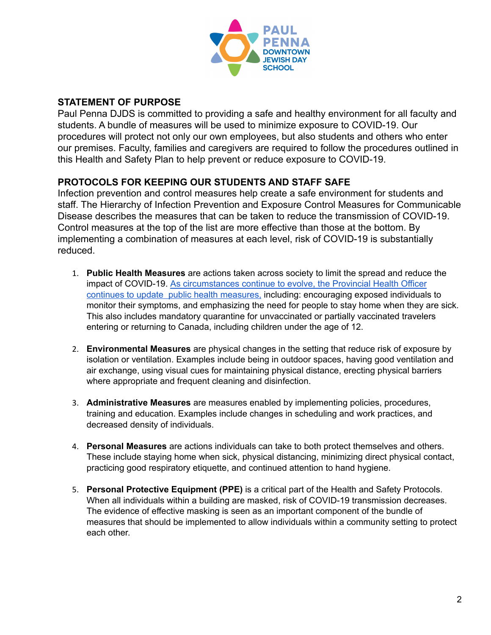

## **STATEMENT OF PURPOSE**

Paul Penna DJDS is committed to providing a safe and healthy environment for all faculty and students. A bundle of measures will be used to minimize exposure to COVID-19. Our procedures will protect not only our own employees, but also students and others who enter our premises. Faculty, families and caregivers are required to follow the procedures outlined in this Health and Safety Plan to help prevent or reduce exposure to COVID-19.

## **PROTOCOLS FOR KEEPING OUR STUDENTS AND STAFF SAFE**

Infection prevention and control measures help create a safe environment for students and staff. The Hierarchy of Infection Prevention and Exposure Control Measures for Communicable Disease describes the measures that can be taken to reduce the transmission of COVID-19. Control measures at the top of the list are more effective than those at the bottom. By implementing a combination of measures at each level, risk of COVID-19 is substantially reduced.

- 1. **Public Health Measures** are actions taken across society to limit the spread and reduce the impact of COVID-19. As [circumstances](https://covid-19.ontario.ca/public-health-measures#overviewead) continue to evolve, the Provincial Health Officer continues to update public health [measures,](https://covid-19.ontario.ca/public-health-measures#overviewead) including: encouraging exposed individuals to monitor their symptoms, and emphasizing the need for people to stay home when they are sick. This also includes mandatory quarantine for unvaccinated or partially vaccinated travelers entering or returning to Canada, including children under the age of 12.
- 2. **Environmental Measures** are physical changes in the setting that reduce risk of exposure by isolation or ventilation. Examples include being in outdoor spaces, having good ventilation and air exchange, using visual cues for maintaining physical distance, erecting physical barriers where appropriate and frequent cleaning and disinfection.
- 3. **Administrative Measures** are measures enabled by implementing policies, procedures, training and education. Examples include changes in scheduling and work practices, and decreased density of individuals.
- 4. **Personal Measures** are actions individuals can take to both protect themselves and others. These include staying home when sick, physical distancing, minimizing direct physical contact, practicing good respiratory etiquette, and continued attention to hand hygiene.
- 5. **Personal Protective Equipment (PPE)** is a critical part of the Health and Safety Protocols. When all individuals within a building are masked, risk of COVID-19 transmission decreases. The evidence of effective masking is seen as an important component of the bundle of measures that should be implemented to allow individuals within a community setting to protect each other.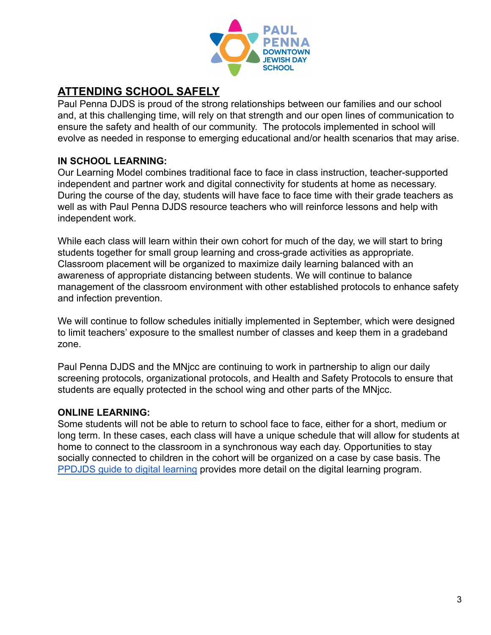

# **ATTENDING SCHOOL SAFELY**

Paul Penna DJDS is proud of the strong relationships between our families and our school and, at this challenging time, will rely on that strength and our open lines of communication to ensure the safety and health of our community. The protocols implemented in school will evolve as needed in response to emerging educational and/or health scenarios that may arise.

## **IN SCHOOL LEARNING:**

Our Learning Model combines traditional face to face in class instruction, teacher-supported independent and partner work and digital connectivity for students at home as necessary. During the course of the day, students will have face to face time with their grade teachers as well as with Paul Penna DJDS resource teachers who will reinforce lessons and help with independent work.

While each class will learn within their own cohort for much of the day, we will start to bring students together for small group learning and cross-grade activities as appropriate. Classroom placement will be organized to maximize daily learning balanced with an awareness of appropriate distancing between students. We will continue to balance management of the classroom environment with other established protocols to enhance safety and infection prevention.

We will continue to follow schedules initially implemented in September, which were designed to limit teachers' exposure to the smallest number of classes and keep them in a gradeband zone.

Paul Penna DJDS and the MNjcc are continuing to work in partnership to align our daily screening protocols, organizational protocols, and Health and Safety Protocols to ensure that students are equally protected in the school wing and other parts of the MNjcc.

## **ONLINE LEARNING:**

Some students will not be able to return to school face to face, either for a short, medium or long term. In these cases, each class will have a unique schedule that will allow for students at home to connect to the classroom in a synchronous way each day. Opportunities to stay socially connected to children in the cohort will be organized on a case by case basis. The [PPDJDS guide to digital learning](https://docs.google.com/document/d/1cf7GGZcfql91ZGexIib_JIa7nP0D53RaPh1EE4TjQps/edit#heading=h.virdkzx64zo3) provides more detail on the digital learning program.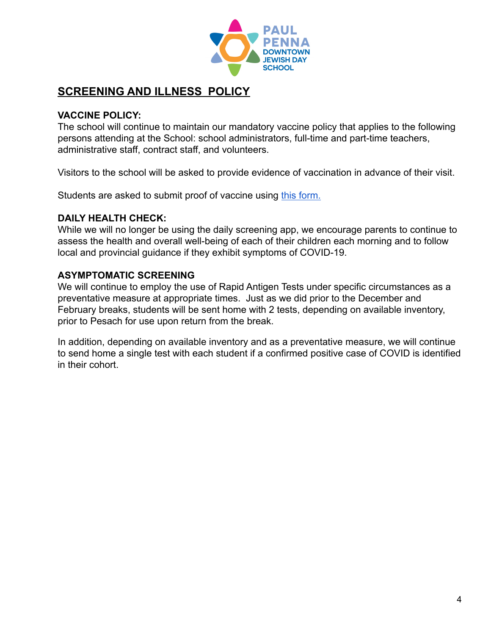

# **SCREENING AND ILLNESS POLICY**

## **VACCINE POLICY:**

The school will continue to maintain our mandatory vaccine policy that applies to the following persons attending at the School: school administrators, full-time and part-time teachers, administrative staff, contract staff, and volunteers.

Visitors to the school will be asked to provide evidence of vaccination in advance of their visit.

Students are asked to submit proof of vaccine using [this form.](https://paulpennadjds.formstack.com/forms/parent_information_copy)

## **DAILY HEALTH CHECK:**

While we will no longer be using the daily screening app, we encourage parents to continue to assess the health and overall well-being of each of their children each morning and to follow local and provincial guidance if they exhibit symptoms of COVID-19.

## **ASYMPTOMATIC SCREENING**

We will continue to employ the use of Rapid Antigen Tests under specific circumstances as a preventative measure at appropriate times. Just as we did prior to the December and February breaks, students will be sent home with 2 tests, depending on available inventory, prior to Pesach for use upon return from the break.

In addition, depending on available inventory and as a preventative measure, we will continue to send home a single test with each student if a confirmed positive case of COVID is identified in their cohort.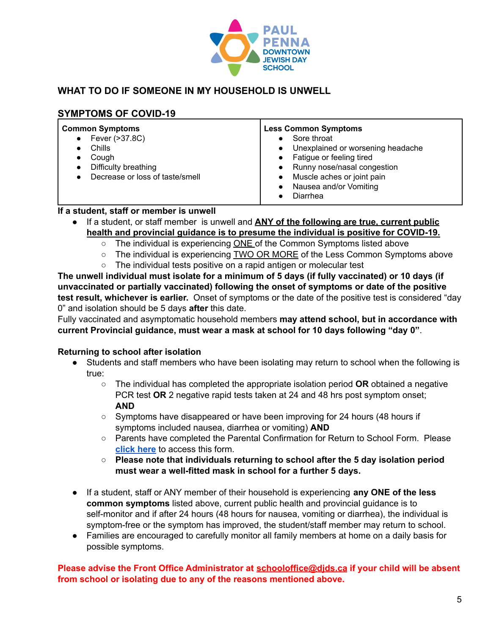

## **WHAT TO DO IF SOMEONE IN MY HOUSEHOLD IS UNWELL**

## **SYMPTOMS OF COVID-19**

| <b>Common Symptoms</b><br>Fever (>37.8C)<br>$\bullet$<br>Chills<br>Cough<br>Difficulty breathing<br>Decrease or loss of taste/smell | <b>Less Common Symptoms</b><br>Sore throat<br>Unexplained or worsening headache<br>Fatigue or feeling tired<br>Runny nose/nasal congestion<br>Muscle aches or joint pain<br>Nausea and/or Vomiting<br>Diarrhea |
|-------------------------------------------------------------------------------------------------------------------------------------|----------------------------------------------------------------------------------------------------------------------------------------------------------------------------------------------------------------|
|-------------------------------------------------------------------------------------------------------------------------------------|----------------------------------------------------------------------------------------------------------------------------------------------------------------------------------------------------------------|

## **If a student, staff or member is unwell**

- If a student, or staff member is unwell and **ANY of the following are true, current public health and provincial guidance is to presume the individual is positive for COVID-19.**
	- $\circ$  The individual is experiencing ONE of the Common Symptoms listed above
	- The individual is experiencing TWO OR MORE of the Less Common Symptoms above
	- The individual tests positive on a rapid antigen or molecular test

**The unwell individual must isolate for a minimum of 5 days (if fully vaccinated) or 10 days (if unvaccinated or partially vaccinated) following the onset of symptoms or date of the positive test result, whichever is earlier.** Onset of symptoms or the date of the positive test is considered "day 0" and isolation should be 5 days **after** this date.

Fully vaccinated and asymptomatic household members **may attend school, but in accordance with current Provincial guidance, must wear a mask at school for 10 days following "day 0"**.

#### **Returning to school after isolation**

- Students and staff members who have been isolating may return to school when the following is true:
	- The individual has completed the appropriate isolation period **OR** obtained a negative PCR test **OR** 2 negative rapid tests taken at 24 and 48 hrs post symptom onset; **AND**
	- Symptoms have disappeared or have been improving for 24 hours (48 hours if symptoms included nausea, diarrhea or vomiting) **AND**
	- Parents have completed the Parental Confirmation for Return to School Form. Please **[click](https://paulpennadjds.formstack.com/forms/return_to_school_parental_confirmation) here** to access this form.
	- **○ Please note that individuals returning to school after the 5 day isolation period must wear a well-fitted mask in school for a further 5 days.**
- If a student, staff or ANY member of their household is experiencing **any ONE of the less common symptoms** listed above, current public health and provincial guidance is to self-monitor and if after 24 hours (48 hours for nausea, vomiting or diarrhea), the individual is symptom-free or the symptom has improved, the student/staff member may return to school.
- Families are encouraged to carefully monitor all family members at home on a daily basis for possible symptoms.

**Please advise the Front Office Administrator at [schooloffice@djds.ca](mailto:schooloffice@djds.ca) if your child will be absent from school or isolating due to any of the reasons mentioned above.**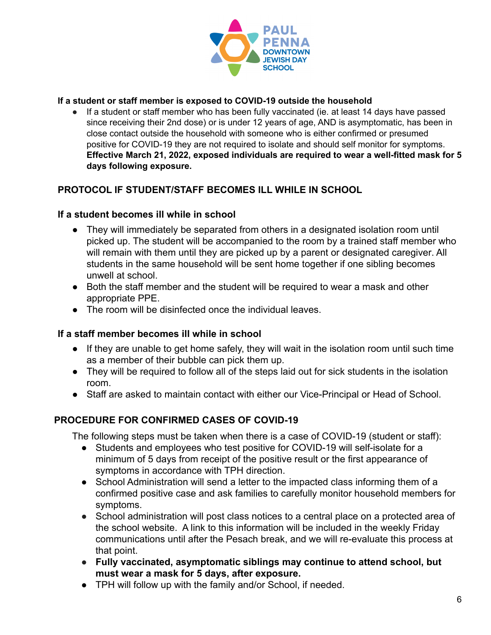

#### **If a student or staff member is exposed to COVID-19 outside the household**

● If a student or staff member who has been fully vaccinated (ie. at least 14 days have passed since receiving their 2nd dose) or is under 12 years of age, AND is asymptomatic, has been in close contact outside the household with someone who is either confirmed or presumed positive for COVID-19 they are not required to isolate and should self monitor for symptoms. **Effective March 21, 2022, exposed individuals are required to wear a well-fitted mask for 5 days following exposure.**

## **PROTOCOL IF STUDENT/STAFF BECOMES ILL WHILE IN SCHOOL**

## **If a student becomes ill while in school**

- They will immediately be separated from others in a designated isolation room until picked up. The student will be accompanied to the room by a trained staff member who will remain with them until they are picked up by a parent or designated caregiver. All students in the same household will be sent home together if one sibling becomes unwell at school.
- Both the staff member and the student will be required to wear a mask and other appropriate PPE.
- The room will be disinfected once the individual leaves.

## **If a staff member becomes ill while in school**

- If they are unable to get home safely, they will wait in the isolation room until such time as a member of their bubble can pick them up.
- They will be required to follow all of the steps laid out for sick students in the isolation room.
- Staff are asked to maintain contact with either our Vice-Principal or Head of School.

## **PROCEDURE FOR CONFIRMED CASES OF COVID-19**

The following steps must be taken when there is a case of COVID-19 (student or staff):

- Students and employees who test positive for COVID-19 will self-isolate for a minimum of 5 days from receipt of the positive result or the first appearance of symptoms in accordance with TPH direction.
- School Administration will send a letter to the impacted class informing them of a confirmed positive case and ask families to carefully monitor household members for symptoms.
- School administration will post class notices to a central place on a protected area of the school website. A link to this information will be included in the weekly Friday communications until after the Pesach break, and we will re-evaluate this process at that point.
- **● Fully vaccinated, asymptomatic siblings may continue to attend school, but must wear a mask for 5 days, after exposure.**
- TPH will follow up with the family and/or School, if needed.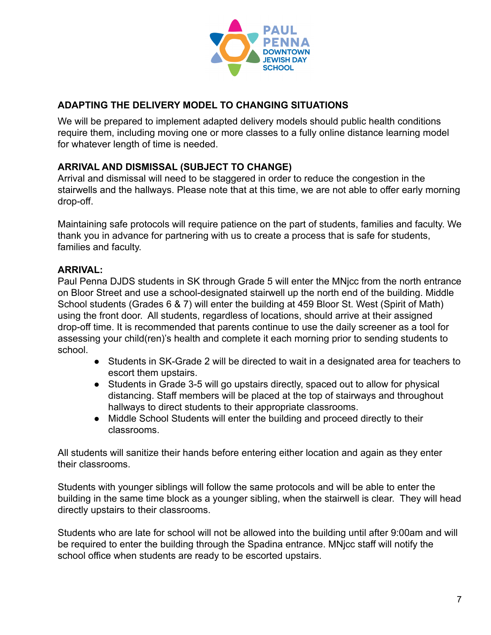

## **ADAPTING THE DELIVERY MODEL TO CHANGING SITUATIONS**

We will be prepared to implement adapted delivery models should public health conditions require them, including moving one or more classes to a fully online distance learning model for whatever length of time is needed.

## **ARRIVAL AND DISMISSAL (SUBJECT TO CHANGE)**

Arrival and dismissal will need to be staggered in order to reduce the congestion in the stairwells and the hallways. Please note that at this time, we are not able to offer early morning drop-off.

Maintaining safe protocols will require patience on the part of students, families and faculty. We thank you in advance for partnering with us to create a process that is safe for students, families and faculty.

## **ARRIVAL:**

Paul Penna DJDS students in SK through Grade 5 will enter the MNjcc from the north entrance on Bloor Street and use a school-designated stairwell up the north end of the building. Middle School students (Grades 6 & 7) will enter the building at 459 Bloor St. West (Spirit of Math) using the front door. All students, regardless of locations, should arrive at their assigned drop-off time. It is recommended that parents continue to use the daily screener as a tool for assessing your child(ren)'s health and complete it each morning prior to sending students to school.

- Students in SK-Grade 2 will be directed to wait in a designated area for teachers to escort them upstairs.
- Students in Grade 3-5 will go upstairs directly, spaced out to allow for physical distancing. Staff members will be placed at the top of stairways and throughout hallways to direct students to their appropriate classrooms.
- Middle School Students will enter the building and proceed directly to their classrooms.

All students will sanitize their hands before entering either location and again as they enter their classrooms.

Students with younger siblings will follow the same protocols and will be able to enter the building in the same time block as a younger sibling, when the stairwell is clear. They will head directly upstairs to their classrooms.

Students who are late for school will not be allowed into the building until after 9:00am and will be required to enter the building through the Spadina entrance. MNjcc staff will notify the school office when students are ready to be escorted upstairs.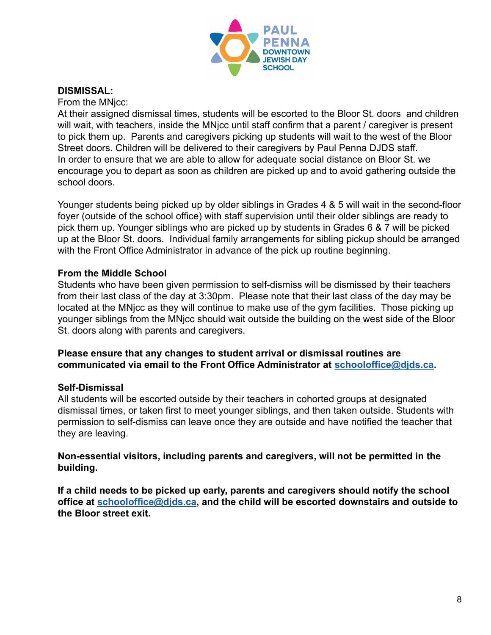

## **DISMISSAL:**

From the MNjcc:

At their assigned dismissal times, students will be escorted to the Bloor St. doors and children will wait, with teachers, inside the MNicc until staff confirm that a parent / caregiver is present to pick them up. Parents and caregivers picking up students will wait to the west of the Bloor Street doors. Children will be delivered to their caregivers by Paul Penna DJDS staff. In order to ensure that we are able to allow for adequate social distance on Bloor St. we encourage you to depart as soon as children are picked up and to avoid gathering outside the school doors.

Younger students being picked up by older siblings in Grades 4 & 5 will wait in the second-floor foyer (outside of the school office) with staff supervision until their older siblings are ready to pick them up. Younger siblings who are picked up by students in Grades 6 & 7 will be picked up at the Bloor St. doors. Individual family arrangements for sibling pickup should be arranged with the Front Office Administrator in advance of the pick up routine beginning.

## **From the Middle School**

Students who have been given permission to self-dismiss will be dismissed by their teachers from their last class of the day at 3:30pm. Please note that their last class of the day may be located at the MNjcc as they will continue to make use of the gym facilities. Those picking up younger siblings from the MNjcc should wait outside the building on the west side of the Bloor St. doors along with parents and caregivers.

#### **Please ensure that any changes to student arrival or dismissal routines are communicated via email to the Front Office Administrator at [schooloffice@djds.ca](mailto:schooloffice@djds.ca).**

#### **Self-Dismissal**

All students will be escorted outside by their teachers in cohorted groups at designated dismissal times, or taken first to meet younger siblings, and then taken outside. Students with permission to self-dismiss can leave once they are outside and have notified the teacher that they are leaving.

## **Non-essential visitors, including parents and caregivers, will not be permitted in the building.**

**If a child needs to be picked up early, parents and caregivers should notify the school office at [schooloffice@djds.ca](mailto:schooloffice@djds.ca), and the child will be escorted downstairs and outside to the Bloor street exit.**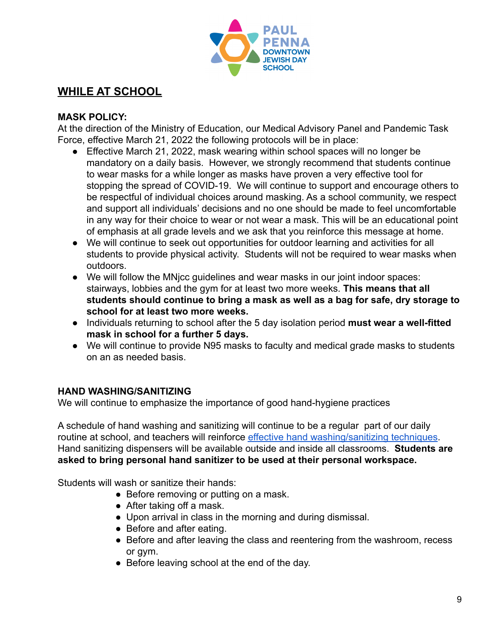

# **WHILE AT SCHOOL**

## **MASK POLICY:**

At the direction of the Ministry of Education, our Medical Advisory Panel and Pandemic Task Force, effective March 21, 2022 the following protocols will be in place:

- Effective March 21, 2022, mask wearing within school spaces will no longer be mandatory on a daily basis. However, we strongly recommend that students continue to wear masks for a while longer as masks have proven a very effective tool for stopping the spread of COVID-19. We will continue to support and encourage others to be respectful of individual choices around masking. As a school community, we respect and support all individuals' decisions and no one should be made to feel uncomfortable in any way for their choice to wear or not wear a mask. This will be an educational point of emphasis at all grade levels and we ask that you reinforce this message at home.
- We will continue to seek out opportunities for outdoor learning and activities for all students to provide physical activity. Students will not be required to wear masks when outdoors.
- We will follow the MNjcc guidelines and wear masks in our joint indoor spaces: stairways, lobbies and the gym for at least two more weeks. **This means that all students should continue to bring a mask as well as a bag for safe, dry storage to school for at least two more weeks.**
- Individuals returning to school after the 5 day isolation period **must wear a well-fitted mask in school for a further 5 days.**
- We will continue to provide N95 masks to faculty and medical grade masks to students on an as needed basis.

## **HAND WASHING/SANITIZING**

We will continue to emphasize the importance of good hand-hygiene practices

A schedule of hand washing and sanitizing will continue to be a regular part of our daily routine at school, and teachers will reinforce effective [hand washing/sanitizing techniques](https://www.canada.ca/content/dam/phac-aspc/documents/services/diseases-maladies/reduce-spread-covid-19-wash-your-hands/eng-handwashing.pdf). Hand sanitizing dispensers will be available outside and inside all classrooms. **Students are asked to bring personal hand sanitizer to be used at their personal workspace.**

Students will wash or sanitize their hands:

- Before removing or putting on a mask.
- After taking off a mask.
- Upon arrival in class in the morning and during dismissal.
- Before and after eating.
- Before and after leaving the class and reentering from the washroom, recess or gym.
- Before leaving school at the end of the day.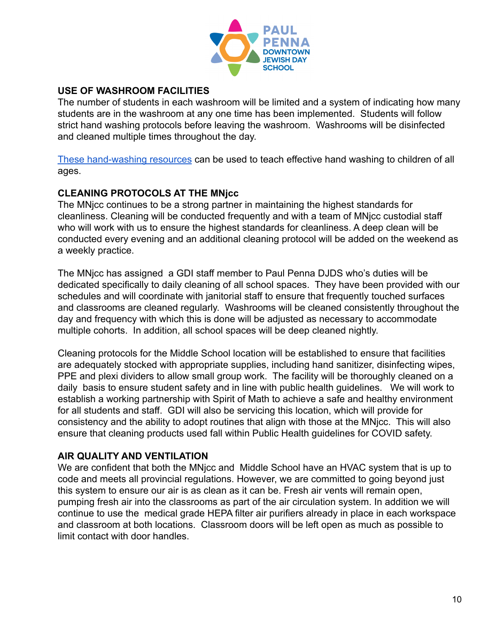

## **USE OF WASHROOM FACILITIES**

The number of students in each washroom will be limited and a system of indicating how many students are in the washroom at any one time has been implemented. Students will follow strict hand washing protocols before leaving the washroom. Washrooms will be disinfected and cleaned multiple times throughout the day.

[These hand-washing resources](https://docs.google.com/document/d/15vo4fJrqxYKZQoO8JWh18Wo0JIqeasWYh-m43iNocnw/edit) can be used to teach effective hand washing to children of all ages.

## **CLEANING PROTOCOLS AT THE MNjcc**

The MNjcc continues to be a strong partner in maintaining the highest standards for cleanliness. Cleaning will be conducted frequently and with a team of MNjcc custodial staff who will work with us to ensure the highest standards for cleanliness. A deep clean will be conducted every evening and an additional cleaning protocol will be added on the weekend as a weekly practice.

The MNjcc has assigned a GDI staff member to Paul Penna DJDS who's duties will be dedicated specifically to daily cleaning of all school spaces. They have been provided with our schedules and will coordinate with janitorial staff to ensure that frequently touched surfaces and classrooms are cleaned regularly. Washrooms will be cleaned consistently throughout the day and frequency with which this is done will be adjusted as necessary to accommodate multiple cohorts. In addition, all school spaces will be deep cleaned nightly.

Cleaning protocols for the Middle School location will be established to ensure that facilities are adequately stocked with appropriate supplies, including hand sanitizer, disinfecting wipes, PPE and plexi dividers to allow small group work. The facility will be thoroughly cleaned on a daily basis to ensure student safety and in line with public health guidelines. We will work to establish a working partnership with Spirit of Math to achieve a safe and healthy environment for all students and staff. GDI will also be servicing this location, which will provide for consistency and the ability to adopt routines that align with those at the MNjcc. This will also ensure that cleaning products used fall within Public Health guidelines for COVID safety.

## **AIR QUALITY AND VENTILATION**

We are confident that both the MNjcc and Middle School have an HVAC system that is up to code and meets all provincial regulations. However, we are committed to going beyond just this system to ensure our air is as clean as it can be. Fresh air vents will remain open, pumping fresh air into the classrooms as part of the air circulation system. In addition we will continue to use the medical grade HEPA filter air purifiers already in place in each workspace and classroom at both locations. Classroom doors will be left open as much as possible to limit contact with door handles.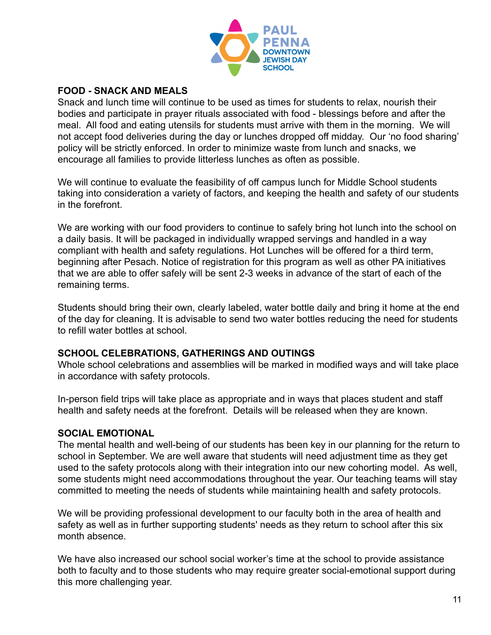

## **FOOD - SNACK AND MEALS**

Snack and lunch time will continue to be used as times for students to relax, nourish their bodies and participate in prayer rituals associated with food - blessings before and after the meal. All food and eating utensils for students must arrive with them in the morning. We will not accept food deliveries during the day or lunches dropped off midday. Our 'no food sharing' policy will be strictly enforced. In order to minimize waste from lunch and snacks, we encourage all families to provide litterless lunches as often as possible.

We will continue to evaluate the feasibility of off campus lunch for Middle School students taking into consideration a variety of factors, and keeping the health and safety of our students in the forefront.

We are working with our food providers to continue to safely bring hot lunch into the school on a daily basis. It will be packaged in individually wrapped servings and handled in a way compliant with health and safety regulations. Hot Lunches will be offered for a third term, beginning after Pesach. Notice of registration for this program as well as other PA initiatives that we are able to offer safely will be sent 2-3 weeks in advance of the start of each of the remaining terms.

Students should bring their own, clearly labeled, water bottle daily and bring it home at the end of the day for cleaning. It is advisable to send two water bottles reducing the need for students to refill water bottles at school.

#### **SCHOOL CELEBRATIONS, GATHERINGS AND OUTINGS**

Whole school celebrations and assemblies will be marked in modified ways and will take place in accordance with safety protocols.

In-person field trips will take place as appropriate and in ways that places student and staff health and safety needs at the forefront. Details will be released when they are known.

## **SOCIAL EMOTIONAL**

The mental health and well-being of our students has been key in our planning for the return to school in September. We are well aware that students will need adjustment time as they get used to the safety protocols along with their integration into our new cohorting model. As well, some students might need accommodations throughout the year. Our teaching teams will stay committed to meeting the needs of students while maintaining health and safety protocols.

We will be providing professional development to our faculty both in the area of health and safety as well as in further supporting students' needs as they return to school after this six month absence.

We have also increased our school social worker's time at the school to provide assistance both to faculty and to those students who may require greater social-emotional support during this more challenging year.